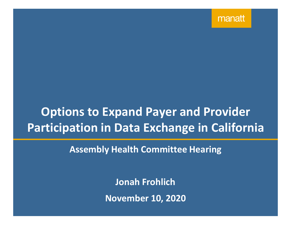manatt

# **Options to Expand Payer and Provider Participation in Data Exchange in California**

**Assembly Health Committee Hearing**

**Jonah Frohlich November 10, 2020**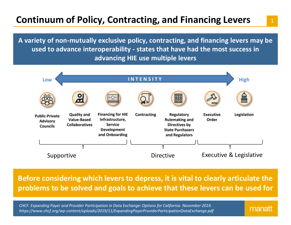## **Continuum of Policy, Contracting, and Financing Levers**

**A variety of non-mutually exclusive policy, contracting, and financing levers may be used to advance interoperability - states that have had the most success in advancing HIE use multiple levers**



**Before considering which levers to depress, it is vital to clearly articulate the problems to be solved and goals to achieve that these levers can be used for**

*CHCF. Expanding Payer and Provider Participation in Data Exchange: Options for California. November 2019. https://www.chcf.org/wp-content/uploads/2019/11/ExpandingPayerProviderParticipationDataExchange.pdf*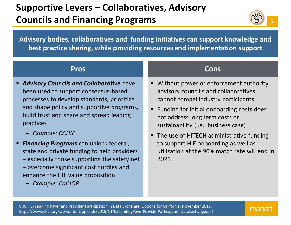## **Supportive Levers – Collaboratives, Advisory Councils and Financing Programs**



**Advisory bodies, collaboratives and funding initiatives can support knowledge and best practice sharing, while providing resources and implementation support**

- *Advisory Councils and Collaborative* have been used to support consensus-based processes to develop standards, prioritize and shape policy and supportive programs, build trust and share and spread leading practices
	- *Example: CAHIE*
- *Financing Programs* can unlock federal, state and private funding to help providers – especially those supporting the safety net – overcome significant cost hurdles and enhance the HIE value proposition
	- *Example: CalHOP*

## **Pros Cons**

- **Without power or enforcement authority,** advisory council's and collaboratives cannot compel industry participants
- Funding for initial onboarding costs does not address long term costs or sustainability (i.e., business case)
- The use of HITECH administrative funding to support HIE onboarding as well as utilization at the 90% match rate will end in 2021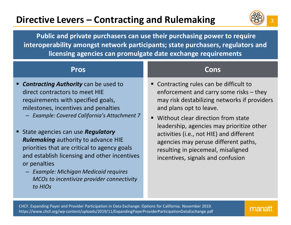## **Directive Levers – Contracting and Rulemaking**



**Public and private purchasers can use their purchasing power to require interoperability amongst network participants; state purchasers, regulators and licensing agencies can promulgate date exchange requirements**

- *Contracting Authority* can be used to direct contractors to meet HIE requirements with specified goals, milestones, incentives and penalties
	- *Example: Covered California's Attachment 7*
- **State agencies can use Regulatory** *Rulemaking* authority to advance HIE priorities that are critical to agency goals and establish licensing and other incentives or penalties
	- *Example: Michigan Medicaid requires MCOs to incentivize provider connectivity to HIOs*

## **Pros Cons**

- Contracting rules can be difficult to enforcement and carry some risks – they may risk destabilizing networks if providers and plans opt to leave.
- Without clear direction from state leadership, agencies may prioritize other activities (i.e., not HIE) and different agencies may peruse different paths, resulting in piecemeal, misaligned incentives, signals and confusion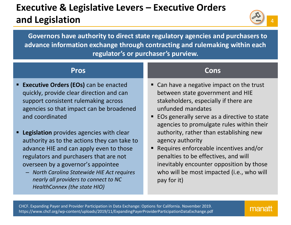## **Executive & Legislative Levers – Executive Orders and Legislation**



**Governors have authority to direct state regulatory agencies and purchasers to advance information exchange through contracting and rulemaking within each regulator's or purchaser's purview.**

- **Executive Orders (EOs)** can be enacted quickly, provide clear direction and can support consistent rulemaking across agencies so that impact can be broadened and coordinated
- **Legislation** provides agencies with clear authority as to the actions they can take to advance HIE and can apply even to those regulators and purchasers that are not overseen by a governor's appointee
	- *North Carolina Statewide HIE Act requires nearly all providers to connect to NC HealthConnex (the state HIO)*

## **Pros Cons**

- Can have a negative impact on the trust between state government and HIE stakeholders, especially if there are unfunded mandates
- EOs generally serve as a directive to state agencies to promulgate rules within their authority, rather than establishing new agency authority
- Requires enforceable incentives and/or penalties to be effectives, and will inevitably encounter opposition by those who will be most impacted (i.e., who will pay for it)

CHCF. Expanding Payer and Provider Participation in Data Exchange: Options for California. November 2019. https://www.chcf.org/wp-content/uploads/2019/11/ExpandingPayerProviderParticipationDataExchange.pdf